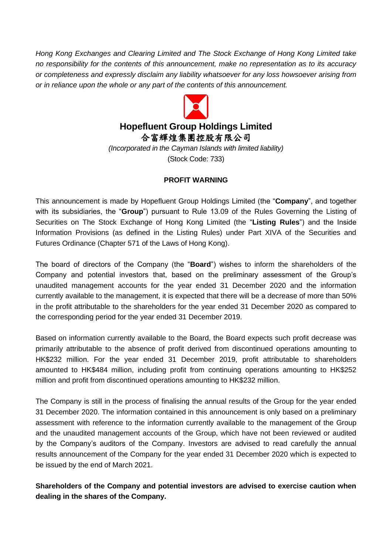*Hong Kong Exchanges and Clearing Limited and The Stock Exchange of Hong Kong Limited take no responsibility for the contents of this announcement, make no representation as to its accuracy or completeness and expressly disclaim any liability whatsoever for any loss howsoever arising from or in reliance upon the whole or any part of the contents of this announcement.*



合富輝煌集團控股有限公司

*(Incorporated in the Cayman Islands with limited liability)* (Stock Code: 733)

## **PROFIT WARNING**

This announcement is made by Hopefluent Group Holdings Limited (the "**Company**", and together with its subsidiaries, the "**Group**") pursuant to Rule 13.09 of the Rules Governing the Listing of Securities on The Stock Exchange of Hong Kong Limited (the "**Listing Rules**") and the Inside Information Provisions (as defined in the Listing Rules) under Part XIVA of the Securities and Futures Ordinance (Chapter 571 of the Laws of Hong Kong).

The board of directors of the Company (the "**Board**") wishes to inform the shareholders of the Company and potential investors that, based on the preliminary assessment of the Group's unaudited management accounts for the year ended 31 December 2020 and the information currently available to the management, it is expected that there will be a decrease of more than 50% in the profit attributable to the shareholders for the year ended 31 December 2020 as compared to the corresponding period for the year ended 31 December 2019.

Based on information currently available to the Board, the Board expects such profit decrease was primarily attributable to the absence of profit derived from discontinued operations amounting to HK\$232 million. For the year ended 31 December 2019, profit attributable to shareholders amounted to HK\$484 million, including profit from continuing operations amounting to HK\$252 million and profit from discontinued operations amounting to HK\$232 million.

The Company is still in the process of finalising the annual results of the Group for the year ended 31 December 2020. The information contained in this announcement is only based on a preliminary assessment with reference to the information currently available to the management of the Group and the unaudited management accounts of the Group, which have not been reviewed or audited by the Company's auditors of the Company. Investors are advised to read carefully the annual results announcement of the Company for the year ended 31 December 2020 which is expected to be issued by the end of March 2021.

**Shareholders of the Company and potential investors are advised to exercise caution when dealing in the shares of the Company.**